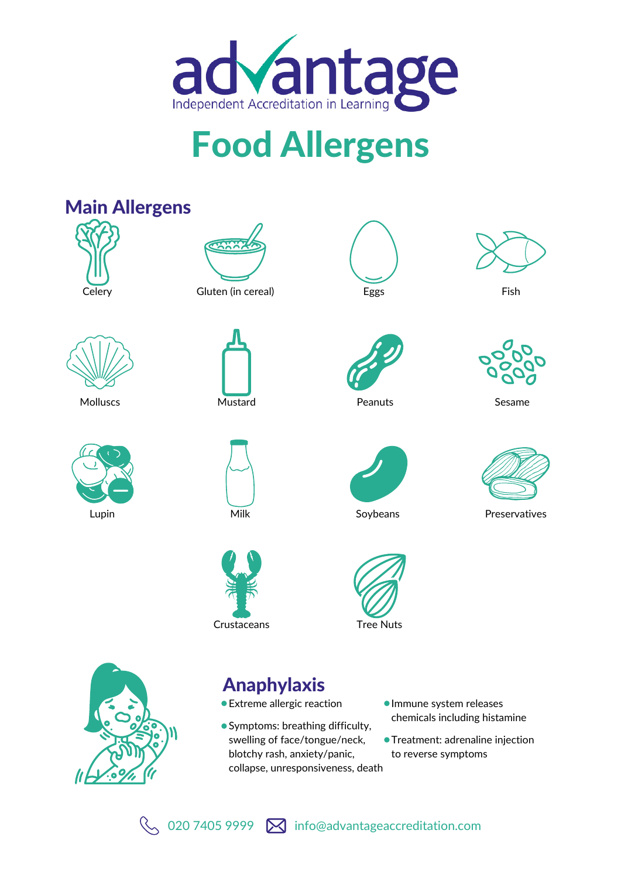

# Food Allergens



Treatment: adrenaline injection to reverse symptoms



swelling of face/tongue/neck, blotchy rash, anxiety/panic, collapse, unresponsiveness, death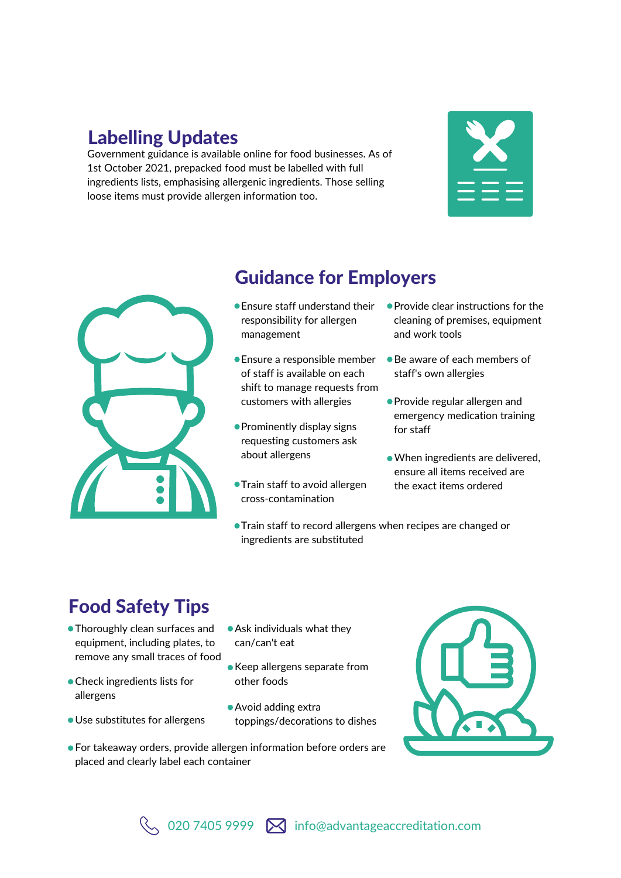## Labelling Updates

Government guidance is available online for food businesses. As of 1st October 2021, prepacked food must be labelled with full ingredients lists, emphasising allergenic ingredients. Those selling loose items must provide allergen information too.





## Guidance for Employers

- Ensure staff understand their responsibility for allergen management
- Ensure a responsible member of staff is available on each shift to manage requests from customers with allergies
- Prominently display signs requesting customers ask about allergens
- **Train staff to avoid allergen** cross-contamination
- Train staff to record allergens when recipes are changed or ingredients are substituted

# Food Safety Tips

- Thoroughly clean surfaces and equipment, including plates, to remove any small traces of food
- Check ingredients lists for other foods allergens
- 
- Ask individuals what they can/can't eat
- Keep allergens separate from
- Avoid adding extra **Use substitutes for allergens** toppings/decorations to dishes
- For takeaway orders, provide allergen information before orders are placed and clearly label each container



When ingredients are delivered, ensure all items received are the exact items ordered

● Provide clear instructions for the cleaning of premises, equipment

Be aware of each members of

Provide regular allergen and emergency medication training

and work tools

for staff

staff's own allergies